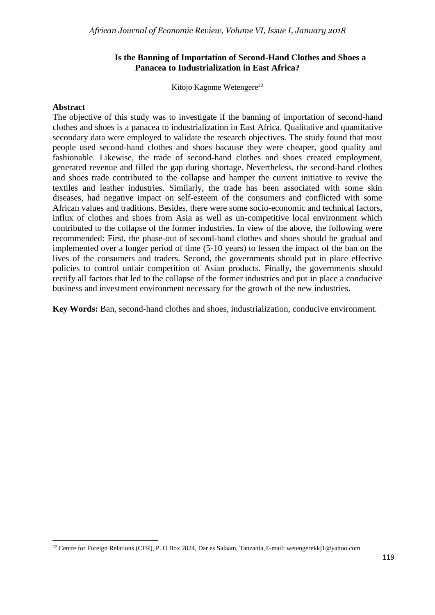#### **Is the Banning of Importation of Second-Hand Clothes and Shoes a Panacea to Industrialization in East Africa?**

Kitojo Kagome Wetengere<sup>22</sup>

#### **Abstract**

**.** 

The objective of this study was to investigate if the banning of importation of second-hand clothes and shoes is a panacea to industrialization in East Africa. Qualitative and quantitative secondary data were employed to validate the research objectives. The study found that most people used second-hand clothes and shoes bacause they were cheaper, good quality and fashionable. Likewise, the trade of second-hand clothes and shoes created employment, generated revenue and filled the gap during shortage. Nevertheless, the second-hand clothes and shoes trade contributed to the collapse and hamper the current initiative to revive the textiles and leather industries. Similarly, the trade has been associated with some skin diseases, had negative impact on self-esteem of the consumers and conflicted with some African values and traditions. Besides, there were some socio-economic and technical factors, influx of clothes and shoes from Asia as well as un-competitive local environment which contributed to the collapse of the former industries. In view of the above, the following were recommended: First, the phase-out of second-hand clothes and shoes should be gradual and implemented over a longer period of time (5-10 years) to lessen the impact of the ban on the lives of the consumers and traders. Second, the governments should put in place effective policies to control unfair competition of Asian products. Finally, the governments should rectify all factors that led to the collapse of the former industries and put in place a conducive business and investment environment necessary for the growth of the new industries.

**Key Words:** Ban, second-hand clothes and shoes, industrialization, conducive environment.

<sup>22</sup> Centre for Foreign Relations (CFR), P. O Box 2824, Dar es Salaam, Tanzania,E-mail: wetengerekkj1@yahoo.com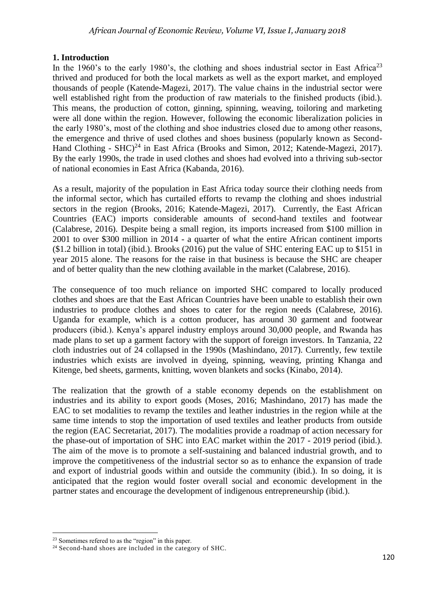# **1. Introduction**

In the 1960's to the early 1980's, the clothing and shoes industrial sector in East Africa<sup>23</sup> thrived and produced for both the local markets as well as the export market, and employed thousands of people (Katende-Magezi, 2017). The value chains in the industrial sector were well established right from the production of raw materials to the finished products (ibid.). This means, the production of cotton, ginning, spinning, weaving, toiloring and marketing were all done within the region. However, following the economic liberalization policies in the early 1980's, most of the clothing and shoe industries closed due to among other reasons, the emergence and thrive of used clothes and shoes business (popularly known as Second-Hand Clothing -  $\text{SHC}$ <sup>24</sup> in East Africa (Brooks and Simon, 2012; Katende-Magezi, 2017). By the early 1990s, the trade in used clothes and shoes had evolved into a thriving sub-sector of national economies in East Africa (Kabanda, 2016).

As a result, majority of the population in East Africa today source their clothing needs from the informal sector, which has curtailed efforts to revamp the clothing and shoes industrial sectors in the region (Brooks, 2016; Katende-Magezi, 2017). Currently, the East African Countries (EAC) imports considerable amounts of second-hand textiles and footwear (Calabrese, 2016). Despite being a small region, its imports increased from \$100 million in 2001 to over \$300 million in 2014 - a quarter of what the entire African continent imports (\$1.2 billion in total) (ibid.). Brooks (2016) put the value of SHC entering EAC up to \$151 in year 2015 alone. The reasons for the raise in that business is because the SHC are cheaper and of better quality than the new clothing available in the market (Calabrese, 2016).

The consequence of too much reliance on imported SHC compared to locally produced clothes and shoes are that the East African Countries have been unable to establish their own industries to produce clothes and shoes to cater for the region needs (Calabrese, 2016). Uganda for example, which is a cotton producer, has [around 30 garment](http://www.uma.or.ug/membership/online-member-directory/textiles-garments) and footwear producers (ibid.). Kenya's apparel industry [employs around 30,000 people,](http://www.ft.com/cms/s/0/75b7273e-6040-11e4-88d1-00144feabdc0.html#axzz42M02I3DX) and Rwanda has made plans to [set up a garment factory](http://www.rdb.rw/home/newsdetails/article/rwanda-ch-garments-sign-partnership-agreement-to-initiate-garments-manufacturing-sector-in-rwanda.html) with the support of foreign investors. In Tanzania, 22 cloth industries out of 24 collapsed in the 1990s (Mashindano, 2017). Currently, few textile industries which exists are involved in dyeing, spinning, weaving, printing Khanga and Kitenge, bed sheets, garments, knitting, woven blankets and socks (Kinabo, 2014).

The realization that the growth of a stable economy depends on the establishment on industries and its ability to export goods (Moses, 2016; Mashindano, 2017) has made the EAC to set modalities to revamp the textiles and leather industries in the region while at the same time intends to stop the importation of used textiles and leather products from outside the region (EAC Secretariat, 2017). The modalities provide a roadmap of action necessary for the phase-out of importation of SHC into EAC market within the 2017 - 2019 period (ibid.). The aim of the move is to promote a self-sustaining and balanced industrial growth, and to improve the competitiveness of the industrial sector so as to enhance the expansion of trade and export of industrial goods within and outside the community (ibid.). In so doing, it is anticipated that the region would foster overall social and economic development in the partner states and encourage the development of indigenous entrepreneurship (ibid.).

**<sup>.</sup>** <sup>23</sup> Sometimes refered to as the "region" in this paper.

 $24$  Second-hand shoes are included in the category of SHC.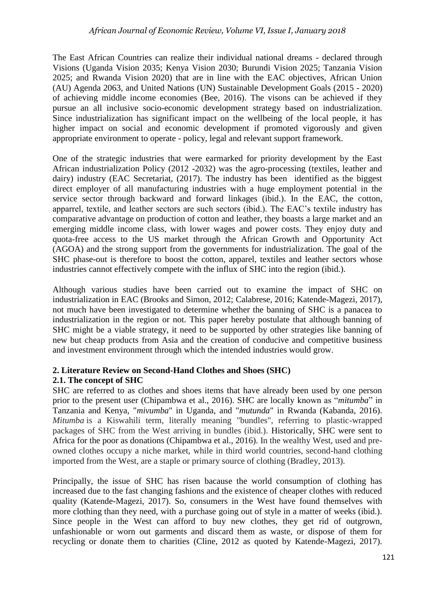The East African Countries can realize their individual national dreams - declared through Visions (Uganda Vision 2035; Kenya Vision 2030; Burundi Vision 2025; Tanzania Vision 2025; and Rwanda Vision 2020) that are in line with the EAC objectives, African Union (AU) Agenda 2063, and United Nations (UN) Sustainable Development Goals (2015 - 2020) of achieving middle income economies (Bee, 2016). The visons can be achieved if they pursue an all inclusive socio-economic development strategy based on industrialization. Since industrialization has significant impact on the wellbeing of the local people, it has higher impact on social and economic development if promoted vigorously and given appropriate environment to operate - policy, legal and relevant support framework.

One of the strategic industries that were earmarked for priority development by the East African industrialization Policy (2012 -2032) was the agro-processing (textiles, leather and dairy) industry (EAC Secretariat, (2017). The industry has been identified as the biggest direct employer of all manufacturing industries with a huge employment potential in the service sector through backward and forward linkages (ibid.). In the EAC, the cotton, apparrel, textile, and leather sectors are such sectors (ibid.). The EAC's textile industry has comparative advantage on production of cotton and leather, they boasts a large market and an emerging middle income class, with lower wages and power costs. They enjoy duty and quota-free access to the US market through the African Growth and Opportunity Act (AGOA) and the strong support from the governments for industrialization. The goal of the SHC phase-out is therefore to boost the cotton, apparel, textiles and leather sectors whose industries cannot effectively compete with the influx of SHC into the region (ibid.).

Although various studies have been carried out to examine the impact of SHC on industrialization in EAC (Brooks and Simon, 2012; Calabrese, 2016; Katende-Magezi, 2017), not much have been investigated to determine whether the banning of SHC is a panacea to industrialization in the region or not. This paper hereby postulate that although banning of SHC might be a viable strategy, it need to be supported by other strategies like banning of new but cheap products from Asia and the creation of conducive and competitive business and investment environment through which the intended industries would grow.

## **2. Literature Review on Second-Hand Clothes and Shoes (SHC) 2.1. The concept of SHC**

SHC are referred to as clothes and shoes items that have already been used by one person prior to the present user (Chipambwa et al., 2016). SHC are locally known as "*mitumba*" in Tanzania and Kenya, "*mivumba*" in Uganda, and "*mutunda*" in Rwanda (Kabanda, 2016). *Mitumba* is a Kiswahili term, literally meaning "bundles", referring to plastic-wrapped packages of SHC from the West arriving in bundles (ibid.). Historically, SHC were sent to Africa for the poor as donations (Chipambwa et al., 2016). In the wealthy West, used and preowned clothes occupy a niche market, while in third world countries, second-hand clothing imported from the West, are a staple or primary source of clothing (Bradley, 2013).

Principally, the issue of SHC has risen bacause the world consumption of clothing has increased due to the fast changing fashions and the existence of cheaper clothes with reduced quality (Katende-Magezi, 2017). So, consumers in the West have found themselves with more clothing than they need, with a purchase going out of style in a matter of weeks (ibid.). Since people in the West can afford to buy new clothes, they get rid of outgrown, unfashionable or worn out garments and discard them as waste, or dispose of them for recycling or donate them to charities (Cline, 2012 as quoted by Katende-Magezi, 2017).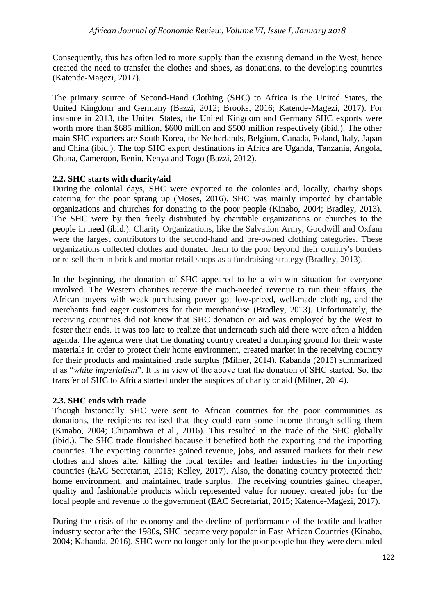Consequently, this has often led to more supply than the existing demand in the West, hence created the need to transfer the clothes and shoes, as donations, to the developing countries (Katende-Magezi, 2017).

The primary source of Second-Hand Clothing (SHC) to Africa is the United States, the United Kingdom and Germany (Bazzi, 2012; Brooks, 2016; Katende-Magezi, 2017). For instance in 2013, the United States, the United Kingdom and Germany SHC exports were worth more than \$685 million, \$600 million and \$500 million respectively (ibid.). The other main SHC exporters are South Korea, the Netherlands, Belgium, Canada, Poland, Italy, Japan and China (ibid.). The top SHC export destinations in Africa are Uganda, Tanzania, Angola, Ghana, Cameroon, Benin, Kenya and Togo (Bazzi, 2012).

# **2.2. SHC starts with charity/aid**

During the colonial days, SHC were exported to the colonies and, locally, charity shops catering for the poor sprang up (Moses, 2016). SHC was mainly imported by charitable organizations and churches for donating to the poor people (Kinabo, 2004; Bradley, 2013). The SHC were by then freely distributed by charitable organizations or churches to the people in need (ibid.). Charity Organizations, like the Salvation Army, Goodwill and Oxfam were the largest contributors to the second-hand and pre-owned clothing categories. These organizations collected clothes and donated them to the poor beyond their country's borders or re-sell them in brick and mortar retail shops as a fundraising strategy (Bradley, 2013).

In the beginning, the donation of SHC appeared to be a win-win situation for everyone involved. The Western charities receive the much-needed revenue to run their affairs, the African buyers with weak purchasing power got low-priced, well-made clothing, and the merchants find eager customers for their merchandise (Bradley, 2013). Unfortunately, the receiving countries did not know that SHC donation or aid was employed by the West to foster their ends. It was too late to realize that underneath such aid there were often a hidden agenda. The agenda were that the donating country created a dumping ground for their waste materials in order to protect their home environment, created market in the receiving country for their products and maintained trade surplus (Milner, 2014). Kabanda (2016) summarized it as "*white imperialism*". It is in view of the above that the donation of SHC started. So, the transfer of SHC to Africa started under the auspices of charity or aid (Milner, 2014).

# **2.3. SHC ends with trade**

Though historically SHC were sent to African countries for the poor communities as donations, the recipients realised that they could earn some income through selling them (Kinabo, 2004; Chipambwa et al., 2016). This resulted in the trade of the SHC globally (ibid.). The SHC trade flourished bacause it benefited both the exporting and the importing countries. The exporting countries gained revenue, jobs, and assured markets for their new clothes and shoes after killing the local textiles and leather industries in the importing countries (EAC Secretariat, 2015; Kelley, 2017). Also, the donating country protected their home environment, and maintained trade surplus. The receiving countries gained cheaper, quality and fashionable products which represented value for money, created jobs for the local people and revenue to the government (EAC Secretariat, 2015; Katende-Magezi, 2017).

During the crisis of the economy and the decline of performance of the textile and leather industry sector after the 1980s, SHC became very popular in East African Countries (Kinabo, 2004; Kabanda, 2016). SHC were no longer only for the poor people but they were demanded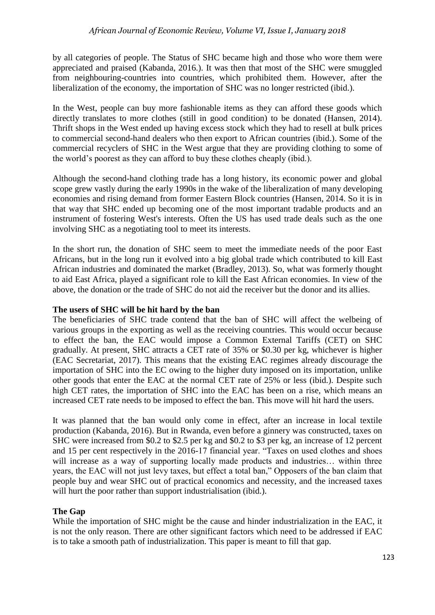by all categories of people. The Status of SHC became high and those who wore them were appreciated and praised (Kabanda, 2016.). It was then that most of the SHC were smuggled from neighbouring-countries into countries, which prohibited them. However, after the liberalization of the economy, the importation of SHC was no longer restricted (ibid.).

In the West, people can buy more fashionable items as they can afford these goods which directly translates to more clothes (still in good condition) to be donated (Hansen, 2014). Thrift shops in the West ended up having excess stock which they had to resell at bulk prices to commercial second-hand dealers who then export to African countries (ibid.). Some of the commercial recyclers of SHC in the West argue that they are providing clothing to some of the world's poorest as they can afford to buy these clothes cheaply (ibid.).

Although the second-hand clothing trade has a long history, its economic power and global scope grew vastly during the early 1990s in the wake of the liberalization of many developing economies and rising demand from former Eastern Block countries (Hansen, 2014. So it is in that way that SHC ended up becoming one of the most important tradable products and an instrument of fostering West's interests. Often the US has used trade deals such as the one involving SHC as a negotiating tool to meet its interests.

In the short run, the donation of SHC seem to meet the immediate needs of the poor East Africans, but in the long run it evolved into a big global trade which contributed to kill East African industries and dominated the market (Bradley, 2013). So, what was formerly thought to aid East Africa, played a significant role to kill the East African economies. In view of the above, the donation or the trade of SHC do not aid the receiver but the donor and its allies.

## **The users of SHC will be hit hard by the ban**

The beneficiaries of SHC trade contend that the ban of SHC will affect the welbeing of various groups in the exporting as well as the receiving countries. This would occur because to effect the ban, the EAC would impose a Common External Tariffs (CET) on SHC gradually. At present, SHC attracts a CET rate of 35% or \$0.30 per kg, whichever is higher (EAC Secretariat, 2017). This means that the existing EAC regimes already discourage the importation of SHC into the EC owing to the higher duty imposed on its importation, unlike other goods that enter the EAC at the normal CET rate of 25% or less (ibid.). Despite such high CET rates, the importation of SHC into the EAC has been on a rise, which means an increased CET rate needs to be imposed to effect the ban. This move will hit hard the users.

It was planned that the ban would only come in effect, after an increase in local textile production (Kabanda, 2016). But in Rwanda, even before a ginnery was constructed, taxes on SHC were increased from \$0.2 to \$2.5 per kg and \$0.2 to \$3 per kg, an increase of 12 percent and 15 per cent respectively in the 2016-17 financial year. "Taxes on used clothes and shoes will increase as a way of supporting locally made products and industries... within three years, the EAC will not just levy taxes, but effect a total ban," Opposers of the ban claim that people buy and wear SHC out of practical economics and necessity, and the increased taxes will hurt the poor rather than support industrialisation (ibid.).

# **The Gap**

While the importation of SHC might be the cause and hinder industrialization in the EAC, it is not the only reason. There are other significant factors which need to be addressed if EAC is to take a smooth path of industrialization. This paper is meant to fill that gap.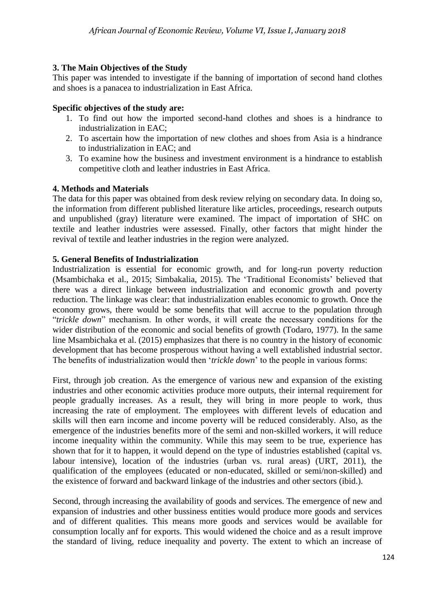# **3. The Main Objectives of the Study**

This paper was intended to investigate if the banning of importation of second hand clothes and shoes is a panacea to industrialization in East Africa.

# **Specific objectives of the study are:**

- 1. To find out how the imported second-hand clothes and shoes is a hindrance to industrialization in EAC;
- 2. To ascertain how the importation of new clothes and shoes from Asia is a hindrance to industrialization in EAC; and
- 3. To examine how the business and investment environment is a hindrance to establish competitive cloth and leather industries in East Africa.

# **4. Methods and Materials**

The data for this paper was obtained from desk review relying on secondary data. In doing so, the information from different published literature like articles, proceedings, research outputs and unpublished (gray) literature were examined. The impact of importation of SHC on textile and leather industries were assessed. Finally, other factors that might hinder the revival of textile and leather industries in the region were analyzed.

# **5. General Benefits of Industrialization**

Industrialization is essential for economic growth, and for long-run poverty reduction (Msambichaka et al., 2015; Simbakalia, 2015). The 'Traditional Economists' believed that there was a direct linkage between industrialization and economic growth and poverty reduction. The linkage was clear: that industrialization enables economic to growth. Once the economy grows, there would be some benefits that will accrue to the population through "*trickle down*" mechanism. In other words, it will create the necessary conditions for the wider distribution of the economic and social benefits of growth (Todaro, 1977). In the same line Msambichaka et al. (2015) emphasizes that there is no country in the history of economic development that has become prosperous without having a well extablished industrial sector. The benefits of industrialization would then '*trickle down*' to the people in various forms:

First, through job creation. As the emergence of various new and expansion of the existing industries and other economic activities produce more outputs, their internal requirement for people gradually increases. As a result, they will bring in more people to work, thus increasing the rate of employment. The employees with different levels of education and skills will then earn income and income poverty will be reduced considerably. Also, as the emergence of the industries benefits more of the semi and non-skilled workers, it will reduce income inequality within the community. While this may seem to be true, experience has shown that for it to happen, it would depend on the type of industries established (capital vs. labour intensive), location of the industries (urban vs. rural areas) (URT, 2011), the qualification of the employees (educated or non-educated, skilled or semi/non-skilled) and the existence of forward and backward linkage of the industries and other sectors (ibid.).

Second, through increasing the availability of goods and services. The emergence of new and expansion of industries and other bussiness entities would produce more goods and services and of different qualities. This means more goods and services would be available for consumption locally anf for exports. This would widened the choice and as a result improve the standard of living, reduce inequality and poverty. The extent to which an increase of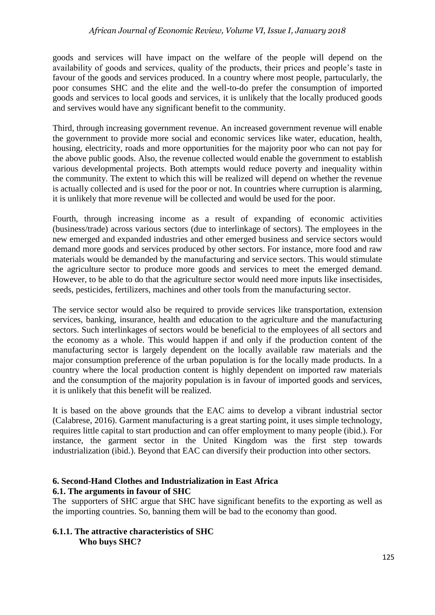goods and services will have impact on the welfare of the people will depend on the availability of goods and services, quality of the products, their prices and people's taste in favour of the goods and services produced. In a country where most people, partucularly, the poor consumes SHC and the elite and the well-to-do prefer the consumption of imported goods and services to local goods and services, it is unlikely that the locally produced goods and servives would have any significant benefit to the community.

Third, through increasing government revenue. An increased government revenue will enable the government to provide more social and economic services like water, education, health, housing, electricity, roads and more opportunities for the majority poor who can not pay for the above public goods. Also, the revenue collected would enable the government to establish various developmental projects. Both attempts would reduce poverty and inequality within the community. The extent to which this will be realized will depend on whether the revenue is actually collected and is used for the poor or not. In countries where curruption is alarming, it is unlikely that more revenue will be collected and would be used for the poor.

Fourth, through increasing income as a result of expanding of economic activities (business/trade) across various sectors (due to interlinkage of sectors). The employees in the new emerged and expanded industries and other emerged business and service sectors would demand more goods and services produced by other sectors. For instance, more food and raw materials would be demanded by the manufacturing and service sectors. This would stimulate the agriculture sector to produce more goods and services to meet the emerged demand. However, to be able to do that the agriculture sector would need more inputs like insectisides, seeds, pesticides, fertilizers, machines and other tools from the manufacturing sector.

The service sector would also be required to provide services like transportation, extension services, banking, insurance, health and education to the agriculture and the manufacturing sectors. Such interlinkages of sectors would be beneficial to the employees of all sectors and the economy as a whole. This would happen if and only if the production content of the manufacturing sector is largely dependent on the locally available raw materials and the major consumption preference of the urban population is for the locally made products. In a country where the local production content is highly dependent on imported raw materials and the consumption of the majority population is in favour of imported goods and services, it is unlikely that this benefit will be realized.

It is based on the above grounds that the EAC aims to develop a vibrant industrial sector (Calabrese, 2016). Garment manufacturing is a great starting point, it uses simple technology, requires little capital to start production and can offer employment to many people (ibid.). For instance, the garment sector in the United Kingdom was the first step towards industrialization (ibid.). Beyond that EAC can diversify their production into other sectors.

#### **6. Second-Hand Clothes and Industrialization in East Africa 6.1. The arguments in favour of SHC**

The supporters of SHC argue that SHC have significant benefits to the exporting as well as the importing countries. So, banning them will be bad to the economy than good.

## **6.1.1. The attractive characteristics of SHC Who buys SHC?**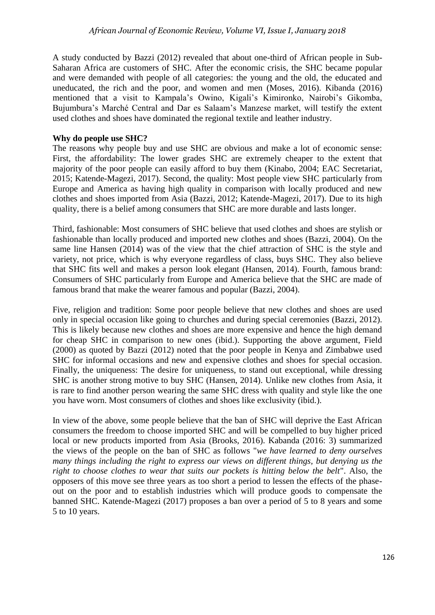A study conducted by Bazzi (2012) revealed that about one-third of African people in Sub-Saharan Africa are customers of SHC. After the economic crisis, the SHC became popular and were demanded with people of all categories: the young and the old, the educated and uneducated, the rich and the poor, and women and men (Moses, 2016). Kibanda (2016) mentioned that a visit to Kampala's Owino, Kigali's Kimironko, Nairobi's Gikomba, Bujumbura's Marché Central and Dar es Salaam's Manzese market, will testify the extent used clothes and shoes have dominated the regional textile and leather industry.

## **Why do people use SHC?**

The reasons why people buy and use SHC are obvious and make a lot of economic sense: First, the affordability: The lower grades SHC are extremely cheaper to the extent that majority of the poor people can easily afford to buy them (Kinabo, 2004; EAC Secretariat, 2015; Katende-Magezi, 2017). Second, the quality: Most people view SHC particularly from Europe and America as having high quality in comparison with locally produced and new clothes and shoes imported from Asia (Bazzi, 2012; Katende-Magezi, 2017). Due to its high quality, there is a belief among consumers that SHC are more durable and lasts longer.

Third, fashionable: Most consumers of SHC believe that used clothes and shoes are stylish or fashionable than locally produced and imported new clothes and shoes (Bazzi, 2004). On the same line Hansen (2014) was of the view that the chief attraction of SHC is the style and variety, not price, which is why everyone regardless of class, buys SHC. They also believe that SHC fits well and makes a person look elegant (Hansen, 2014). Fourth, famous brand: Consumers of SHC particularly from Europe and America believe that the SHC are made of famous brand that make the wearer famous and popular (Bazzi, 2004).

Five, religion and tradition: Some poor people believe that new clothes and shoes are used only in special occasion like going to churches and during special ceremonies (Bazzi, 2012). This is likely because new clothes and shoes are more expensive and hence the high demand for cheap SHC in comparison to new ones (ibid.). Supporting the above argument, Field (2000) as quoted by Bazzi (2012) noted that the poor people in Kenya and Zimbabwe used SHC for informal occasions and new and expensive clothes and shoes for special occasion. Finally, the uniqueness: The desire for uniqueness, to stand out exceptional, while dressing SHC is another strong motive to buy SHC (Hansen, 2014). Unlike new clothes from Asia, it is rare to find another person wearing the same SHC dress with quality and style like the one you have worn. Most consumers of clothes and shoes like exclusivity (ibid.).

In view of the above, some people believe that the ban of SHC will deprive the East African consumers the freedom to choose imported SHC and will be compelled to buy higher priced local or new products imported from Asia (Brooks, 2016). Kabanda (2016: 3) summarized the views of the people on the ban of SHC as follows "*we have learned to deny ourselves many things including the right to express our views on different things, but denying us the right to choose clothes to wear that suits our pockets is hitting below the belt*". Also, the opposers of this move see three years as too short a period to lessen the effects of the phaseout on the poor and to establish industries which will produce goods to compensate the banned SHC. Katende-Magezi (2017) proposes a ban over a period of 5 to 8 years and some 5 to 10 years.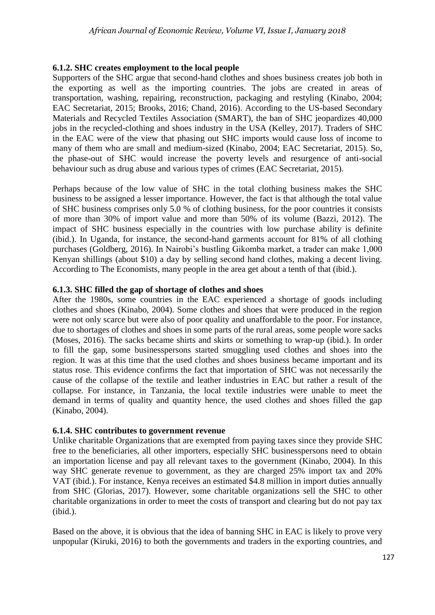## **6.1.2. SHC creates employment to the local people**

Supporters of the SHC argue that second-hand clothes and shoes business creates job both in the exporting as well as the importing countries. The jobs are created in areas of transportation, washing, repairing, reconstruction, packaging and restyling (Kinabo, 2004; EAC Secretariat, 2015; Brooks, 2016; Chand, 2016). According to the US-based Secondary Materials and Recycled Textiles Association (SMART), the ban of SHC jeopardizes 40,000 jobs in the recycled-clothing and shoes industry in the USA (Kelley, 2017). Traders of SHC in the EAC were of the view that phasing out SHC imports would cause loss of income to many of them who are small and medium-sized (Kinabo, 2004; EAC Secretariat, 2015). So, the phase-out of SHC would increase the poverty levels and resurgence of anti-social behaviour such as drug abuse and various types of crimes (EAC Secretariat, 2015).

Perhaps because of the low value of SHC in the total clothing business makes the SHC business to be assigned a lesser importance. However, the fact is that although the total value of SHC business comprises only 5.0 % of clothing business, for the poor countries it consists of more than 30% of import value and more than 50% of its volume (Bazzi, 2012). The impact of SHC business especially in the countries with low purchase ability is definite (ibid.). In Uganda, for instance, the second-hand garments account for 81% of all clothing purchases (Goldberg, 2016). In Nairobi's bustling Gikomba market, a trader can make 1,000 Kenyan shillings (about \$10) a day by selling second hand clothes, making a decent living. According to The Economists, many people in the area get about a tenth of that (ibid.).

## **6.1.3. SHC filled the gap of shortage of clothes and shoes**

After the 1980s, some countries in the EAC experienced a shortage of goods including clothes and shoes (Kinabo, 2004). Some clothes and shoes that were produced in the region were not only scarce but were also of poor quality and unaffordable to the poor. For instance, due to shortages of clothes and shoes in some parts of the rural areas, some people wore sacks (Moses, 2016). The sacks became shirts and skirts or something to wrap-up (ibid.). In order to fill the gap, some businesspersons started smuggling used clothes and shoes into the region. It was at this time that the used clothes and shoes business became important and its status rose. This evidence confirms the fact that importation of SHC was not necessarily the cause of the collapse of the textile and leather industries in EAC but rather a result of the collapse. For instance, in Tanzania, the local textile industries were unable to meet the demand in terms of quality and quantity hence, the used clothes and shoes filled the gap (Kinabo, 2004).

#### **6.1.4. SHC contributes to government revenue**

Unlike charitable Organizations that are exempted from paying taxes since they provide SHC free to the beneficiaries, all other importers, especially SHC businesspersons need to obtain an importation license and pay all relevant taxes to the government (Kinabo, 2004). In this way SHC generate revenue to government, as they are charged 25% import tax and 20% VAT (ibid.). For instance, [Kenya](https://www.mediamaxnetwork.co.ke/people-daily/205518/mitumba-market-an-ecosystem-of-intertwined-small-businesses/) receives an estimated \$4.8 million in import duties annually from SHC (Glorias, 2017). However, some charitable organizations sell the SHC to other charitable organizations in order to meet the costs of transport and clearing but do not pay tax (ibid.).

Based on the above, it is obvious that the idea of banning SHC in EAC is likely to prove very unpopular (Kiruki, 2016) to both the governments and traders in the exporting countries, and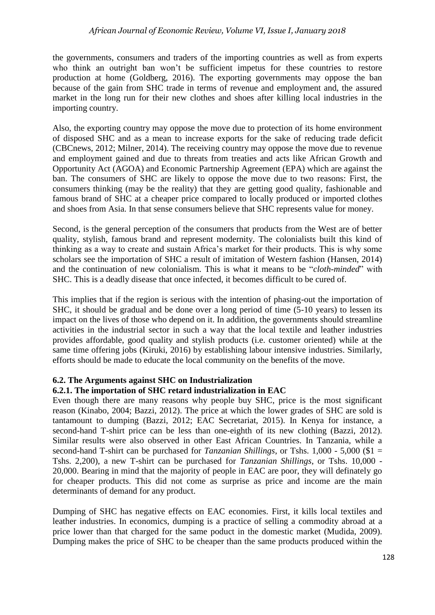#### *African Journal of Economic Review, Volume VI, Issue I, January 2018*

the governments, consumers and traders of the importing countries as well as from experts who think an outright ban won't be sufficient impetus for these countries to restore production at home (Goldberg, 2016). The exporting governments may oppose the ban because of the gain from SHC trade in terms of revenue and employment and, the assured market in the long run for their new clothes and shoes after killing local industries in the importing country.

Also, the exporting country may oppose the move due to protection of its home environment of disposed SHC and as a mean to increase exports for the sake of reducing trade deficit (CBCnews, 2012; Milner, 2014). The receiving country may oppose the move due to revenue and employment gained and due to threats from treaties and acts like African Growth and Opportunity Act (AGOA) and Economic Partnership Agreement (EPA) which are against the ban. The consumers of SHC are likely to oppose the move due to two reasons: First, the consumers thinking (may be the reality) that they are getting good quality, fashionable and famous brand of SHC at a cheaper price compared to locally produced or imported clothes and shoes from Asia. In that sense consumers believe that SHC represents value for money.

Second, is the general perception of the consumers that products from the West are of better quality, stylish, famous brand and represent modernity. The colonialists built this kind of thinking as a way to create and sustain Africa's market for their products. This is why some scholars see the importation of SHC a result of imitation of Western fashion (Hansen, 2014) and the continuation of new colonialism. This is what it means to be "*cloth-minded*" with SHC. This is a deadly disease that once infected, it becomes difficult to be cured of.

This implies that if the region is serious with the intention of phasing-out the importation of SHC, it should be gradual and be done over a long period of time (5-10 years) to lessen its impact on the lives of those who depend on it. In addition, the governments should streamline activities in the industrial sector in such a way that the local textile and leather industries provides affordable, good quality and stylish products (i.e. customer oriented) while at the same time offering jobs (Kiruki, 2016) by establishing labour intensive industries. Similarly, efforts should be made to educate the local community on the benefits of the move.

#### **6.2. The Arguments against SHC on Industrialization**

#### **6.2.1. The importation of SHC retard industrialization in EAC**

Even though there are many reasons why people buy SHC, price is the most significant reason (Kinabo, 2004; Bazzi, 2012). The price at which the lower grades of SHC are sold is tantamount to dumping (Bazzi, 2012; EAC Secretariat, 2015). In Kenya for instance, a second-hand T-shirt price can be less than one-eighth of its new clothing (Bazzi, 2012). Similar results were also observed in other East African Countries. In Tanzania, while a second-hand T-shirt can be purchased for *Tanzanian Shillings*, or Tshs. 1,000 - 5,000 (\$1 = Tshs. 2,200), a new T-shirt can be purchased for *Tanzanian Shillings*, or Tshs. 10,000 - 20,000. Bearing in mind that the majority of people in EAC are poor, they will definately go for cheaper products. This did not come as surprise as price and income are the main determinants of demand for any product.

Dumping of SHC has negative effects on EAC economies. First, it kills local textiles and leather industries. In economics, dumping is a practice of selling a commodity abroad at a price lower than that charged for the same poduct in the domestic market (Mudida, 2009). Dumping makes the price of SHC to be cheaper than the same products produced within the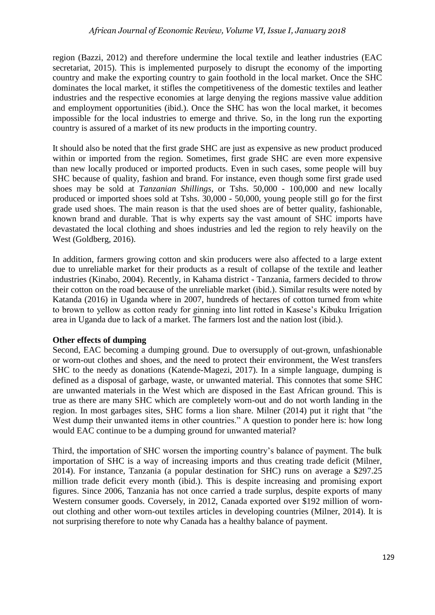region (Bazzi, 2012) and therefore undermine the local textile and leather industries (EAC secretariat, 2015). This is implemented purposely to disrupt the economy of the importing country and make the exporting country to gain foothold in the local market. Once the SHC dominates the local market, it stifles the competitiveness of the domestic textiles and leather industries and the respective economies at large denying the regions massive value addition and employment opportunities (ibid.). Once the SHC has won the local market, it becomes impossible for the local industries to emerge and thrive. So, in the long run the exporting country is assured of a market of its new products in the importing country.

It should also be noted that the first grade SHC are just as expensive as new product produced within or imported from the region. Sometimes, first grade SHC are even more expensive than new locally produced or imported products. Even in such cases, some people will buy SHC because of quality, fashion and brand. For instance, even though some first grade used shoes may be sold at *Tanzanian Shillings*, or Tshs. 50,000 - 100,000 and new locally produced or imported shoes sold at Tshs. 30,000 - 50,000, young people still go for the first grade used shoes. The main reason is that the used shoes are of better quality, fashionable, known brand and durable. That is why experts say the vast amount of SHC imports have devastated the local clothing and shoes industries and led the region to rely heavily on the West (Goldberg, 2016).

In addition, farmers growing cotton and skin producers were also affected to a large extent due to unreliable market for their products as a result of collapse of the textile and leather industries (Kinabo, 2004). Recently, in Kahama district - Tanzania, farmers decided to throw their cotton on the road because of the unreliable market (ibid.). Similar results were noted by Katanda (2016) in Uganda where in 2007, hundreds of hectares of cotton turned from white to brown to yellow as cotton ready for ginning into lint rotted in Kasese's Kibuku Irrigation area in Uganda due to lack of a market. The farmers lost and the nation lost (ibid.).

#### **Other effects of dumping**

Second, EAC becoming a dumping ground. Due to oversupply of out-grown, unfashionable or worn-out clothes and shoes, and the need to protect their environment, the West transfers SHC to the needy as donations (Katende-Magezi, 2017). In a simple language, dumping is defined as a disposal of garbage, waste, or unwanted material. This connotes that some SHC are unwanted materials in the West which are disposed in the East African ground. This is true as there are many SHC which are completely worn-out and do not worth landing in the region. In most garbages sites, SHC forms a lion share. Milner (2014) put it right that "the West dump their unwanted items in other countries." A question to ponder here is: how long would EAC continue to be a dumping ground for unwanted material?

Third, the importation of SHC worsen the importing country's balance of payment. The bulk importation of SHC is a way of increasing imports and thus creating trade deficit (Milner, 2014). For instance, Tanzania (a popular destination for SHC) runs on average a \$297.25 million trade deficit every month (ibid.). This is despite increasing and promising export figures. Since 2006, Tanzania has not once carried a trade surplus, despite exports of many Western consumer goods. Coversely, in 2012, Canada exported over \$192 million of wornout clothing and other worn-out textiles articles in developing countries (Milner, 2014). It is not surprising therefore to note why Canada has a healthy balance of payment.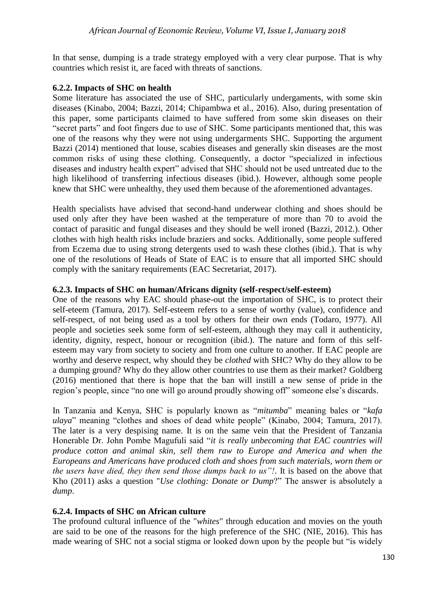In that sense, dumping is a trade strategy employed with a very clear purpose. That is why countries which resist it, are faced with threats of sanctions.

### **6.2.2. Impacts of SHC on health**

Some literature has associated the use of SHC, particularly undergaments, with some skin diseases (Kinabo, 2004; Bazzi, 2014; Chipambwa et al., 2016). Also, during presentation of this paper, some participants claimed to have suffered from some skin diseases on their "secret parts" and foot fingers due to use of SHC. Some participants mentioned that, this was one of the reasons why they were not using undergarments SHC. Supporting the argument Bazzi (2014) mentioned that louse, scabies diseases and generally skin diseases are the most common risks of using these clothing. Consequently, a doctor "specialized in infectious diseases and industry health expert" advised that SHC should not be used untreated due to the high likelihood of transferring infectious diseases (ibid.). However, although some people knew that SHC were unhealthy, they used them because of the aforementioned advantages.

Health specialists have advised that second-hand underwear clothing and shoes should be used only after they have been washed at the temperature of more than 70 to avoid the contact of parasitic and fungal diseases and they should be well ironed (Bazzi, 2012.). Other clothes with high health risks include braziers and socks. Additionally, some people suffered from Eczema due to using strong detergents used to wash these clothes (ibid.). That is why one of the resolutions of Heads of State of EAC is to ensure that all imported SHC should comply with the sanitary requirements (EAC Secretariat, 2017).

## **6.2.3. Impacts of SHC on human/Africans dignity (self-respect/self-esteem)**

One of the reasons why EAC should phase-out the importation of SHC, is to protect their self-eteem (Tamura, 2017). Self-esteem refers to a sense of worthy (value), confidence and self-respect, of not being used as a tool by others for their own ends (Todaro, 1977). All people and societies seek some form of self-esteem, although they may call it authenticity, identity, dignity, respect, honour or recognition (ibid.). The nature and form of this selfesteem may vary from society to society and from one culture to another. If EAC people are worthy and deserve respect, why should they be *clothed* with SHC? Why do they allow to be a dumping ground? Why do they allow other countries to use them as their market? Goldberg (2016) mentioned that there is hope that the ban will instill a new sense of pride in the region's people, since "no one will go around proudly showing off" someone else's discards.

In Tanzania and Kenya, SHC is popularly known as "*mitumba*" meaning bales or "*kafa ulaya*" meaning "clothes and shoes of dead white people" (Kinabo, 2004; Tamura, 2017). The later is a very despising name. It is on the same vein that the President of Tanzania Honerable Dr. John Pombe Magufuli said "*it is really unbecoming that EAC countries will produce cotton and animal skin, sell them raw to Europe and America and when the Europeans and Americans have produced cloth and shoes from such materials, worn them or the users have died, they then send those dumps back to us"!*. It is based on the above that Kho (2011) asks a question "*Use clothing: Donate or Dump*?" The answer is absolutely a *dump*.

# **6.2.4. Impacts of SHC on African culture**

The profound cultural influence of the "*whites*" through education and movies on the youth are said to be one of the reasons for the high preference of the SHC (NIE, 2016). This has made wearing of SHC not a social stigma or looked down upon by the people but "is widely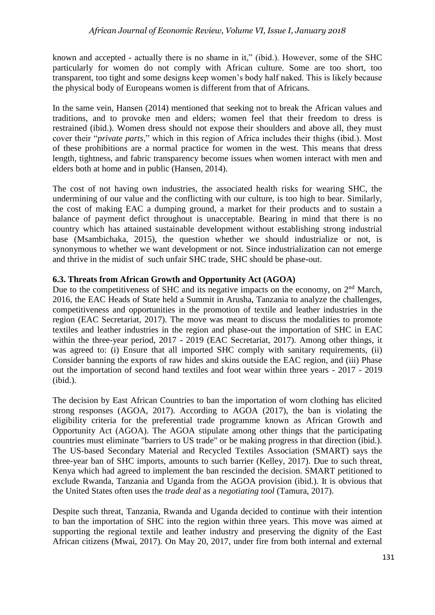known and accepted - actually there is no shame in it," (ibid.). However, some of the SHC particularly for women do not comply with African culture. Some are too short, too transparent, too tight and some designs keep women's body half naked. This is likely because the physical body of Europeans women is different from that of Africans.

In the same vein, Hansen (2014) mentioned that seeking not to break the African values and traditions, and to provoke men and elders; women feel that their freedom to dress is restrained (ibid.). Women dress should not expose their shoulders and above all, they must cover their "*private parts*," which in this region of Africa includes their thighs (ibid.). Most of these prohibitions are a normal practice for women in the west. This means that dress length, tightness, and fabric transparency become issues when women interact with men and elders both at home and in public (Hansen, 2014).

The cost of not having own industries, the associated health risks for wearing SHC, the undermining of our value and the conflicting with our culture, is too high to bear. Similarly, the cost of making EAC a dumping ground, a market for their products and to sustain a balance of payment defict throughout is unacceptable. Bearing in mind that there is no country which has attained sustainable development without establishing strong industrial base (Msambichaka, 2015), the question whether we should industrialize or not, is synonymous to whether we want development or not. Since industrialization can not emerge and thrive in the midist of such unfair SHC trade, SHC should be phase-out.

## **6.3. Threats from African Growth and Opportunity Act (AGOA)**

Due to the competitiveness of SHC and its negative impacts on the economy, on 2<sup>nd</sup> March, 2016, the EAC Heads of State held a Summit in Arusha, Tanzania to analyze the challenges, competitiveness and opportunities in the promotion of textile and leather industries in the region (EAC Secretariat, 2017). The move was meant to discuss the modalities to promote textiles and leather industries in the region and phase-out the importation of SHC in EAC within the three-year period, 2017 - 2019 (EAC Secretariat, 2017). Among other things, it was agreed to: (i) Ensure that all imported SHC comply with sanitary requirements, (ii) Consider banning the exports of raw hides and skins outside the EAC region, and (iii) Phase out the importation of second hand textiles and foot wear within three years - 2017 - 2019 (ibid.).

The decision by East African Countries to ban the importation of worn clothing has elicited strong responses (AGOA, 2017). According to AGOA (2017), the ban is violating the eligibility criteria for the preferential trade programme known as African Growth and Opportunity Act (AGOA). The AGOA stipulate among other things that the participating countries must eliminate "barriers to US trade" or be making progress in that direction (ibid.). The US-based Secondary Material and Recycled Textiles Association (SMART) says the three-year ban of SHC imports, amounts to such barrier (Kelley, 2017). Due to such threat, Kenya which had agreed to implement the ban rescinded the decision. SMART petitioned to exclude Rwanda, Tanzania and Uganda from the AGOA provision (ibid.). It is obvious that the United States often uses the *trade deal* as a *negotiating tool* (Tamura, 2017).

Despite such threat, Tanzania, Rwanda and Uganda decided to continue with their intention to ban the importation of SHC into the region within three years. This move was aimed at supporting the regional textile and leather industry and preserving the dignity of the East African citizens (Mwai, 2017). On May 20, 2017, under fire from both internal and external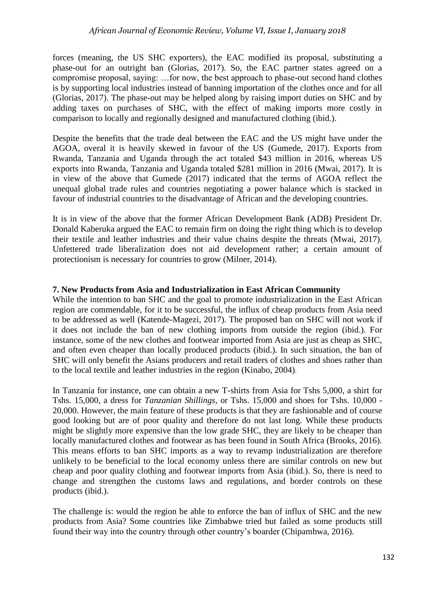forces (meaning, the US SHC exporters), the EAC modified its proposal, substituting a phase-out for an outright ban (Glorias, 2017). So, the EAC partner states agreed on a compromise proposal, saying: …for now, the best approach to phase-out second hand clothes is by supporting local industries instead of banning importation of the clothes once and for all (Glorias, 2017). The phase-out may be helped along by raising import duties on SHC and by adding taxes on purchases of SHC, with the effect of making imports more costly in comparison to locally and regionally designed and manufactured clothing (ibid.).

Despite the benefits that the trade deal between the EAC and the US might have under the AGOA, overal it is heavily skewed in favour of the US (Gumede, 2017). Exports from Rwanda, Tanzania and Uganda through the act totaled \$43 million in 2016, whereas US exports into Rwanda, Tanzania and Uganda totaled \$281 million in 2016 (Mwai, 2017). It is in view of the above that Gumede (2017) indicated that the terms of AGOA reflect the unequal global trade rules and countries negotiating a power balance which is stacked in favour of industrial countries to the disadvantage of African and the developing countries.

It is in view of the above that the former African Development Bank (ADB) President Dr. Donald Kaberuka argued the EAC to remain firm on doing the right thing which is to develop their textile and leather industries and their value chains despite the threats (Mwai, 2017). Unfettered trade liberalization does not aid development rather; a certain amount of protectionism is necessary for countries to grow (Milner, 2014).

#### **7. New Products from Asia and Industrialization in East African Community**

While the intention to ban SHC and the goal to promote industrialization in the East African region are commendable, for it to be successful, the influx of cheap products from Asia need to be addressed as well (Katende-Magezi, 2017). The proposed ban on SHC will not work if it does not include the ban of new clothing imports from outside the region (ibid.). For instance, some of the new clothes and footwear imported from Asia are just as cheap as SHC, and often even cheaper than locally produced products (ibid.). In such situation, the ban of SHC will only benefit the Asians producers and retail traders of clothes and shoes rather than to the local textile and leather industries in the region (Kinabo, 2004).

In Tanzania for instance, one can obtain a new T-shirts from Asia for Tshs 5,000, a shirt for Tshs. 15,000, a dress for *Tanzanian Shillings*, or Tshs. 15,000 and shoes for Tshs. 10,000 - 20,000. However, the main feature of these products is that they are fashionable and of course good looking but are of poor quality and therefore do not last long. While these products might be slightly more expensive than the low grade SHC, they are likely to be cheaper than locally manufactured clothes and footwear as has been found in South Africa (Brooks, 2016). This means efforts to ban SHC imports as a way to revamp industrialization are therefore unlikely to be beneficial to the local economy unless there are similar controls on new but cheap and poor quality clothing and footwear imports from Asia (ibid.). So, there is need to change and strengthen the customs laws and regulations, and border controls on these products (ibid.).

The challenge is: would the region be able to enforce the ban of influx of SHC and the new products from Asia? Some countries like Zimbabwe tried but failed as some products still found their way into the country through other country's boarder (Chipambwa, 2016).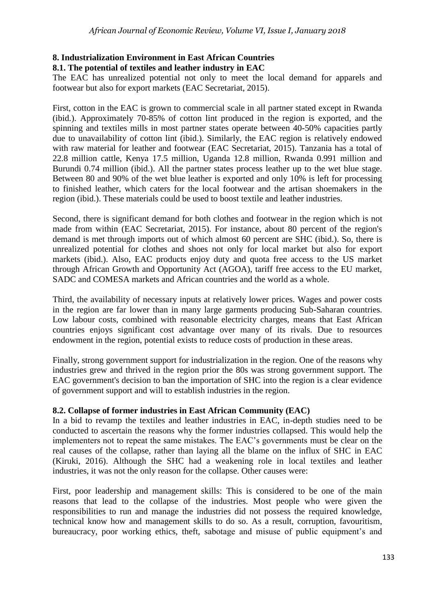# **8. Industrialization Environment in East African Countries**

## **8.1. The potential of textiles and leather industry in EAC**

The EAC has unrealized potential not only to meet the local demand for apparels and footwear but also for export markets (EAC Secretariat, 2015).

First, cotton in the EAC is grown to commercial scale in all partner stated except in Rwanda (ibid.). Approximately 70-85% of cotton lint produced in the region is exported, and the spinning and textiles mills in most partner states operate between 40-50% capacities partly due to unavailability of cotton lint (ibid.). Similarly, the EAC region is relatively endowed with raw material for leather and footwear (EAC Secretariat, 2015). Tanzania has a total of 22.8 million cattle, Kenya 17.5 million, Uganda 12.8 million, Rwanda 0.991 million and Burundi 0.74 million (ibid.). All the partner states process leather up to the wet blue stage. Between 80 and 90% of the wet blue leather is exported and only 10% is left for processing to finished leather, which caters for the local footwear and the artisan shoemakers in the region (ibid.). These materials could be used to boost textile and leather industries.

Second, there is significant demand for both clothes and footwear in the region which is not made from within (EAC Secretariat, 2015). For instance, about 80 percent of the region's demand is met through imports out of which almost 60 percent are SHC (ibid.). So, there is unrealized potential for clothes and shoes not only for local market but also for export markets (ibid.). Also, EAC products enjoy duty and quota free access to the US market through African Growth and Opportunity Act (AGOA), tariff free access to the EU market, SADC and COMESA markets and African countries and the world as a whole.

Third, the availability of necessary inputs at relatively lower prices. Wages and power costs in the region are far lower than in many large garments producing Sub-Saharan countries. Low labour costs, combined with reasonable electricity charges, means that East African countries enjoys significant cost advantage over many of its rivals. Due to resources endowment in the region, potential exists to reduce costs of production in these areas.

Finally, strong government support for industrialization in the region. One of the reasons why industries grew and thrived in the region prior the 80s was strong government support. The EAC government's decision to ban the importation of SHC into the region is a clear evidence of government support and will to establish industries in the region.

# **8.2. Collapse of former industries in East African Community (EAC)**

In a bid to revamp the textiles and leather industries in EAC, in-depth studies need to be conducted to ascertain the reasons why the former industries collapsed. This would help the implementers not to repeat the same mistakes. The EAC's governments must be clear on the real causes of the collapse, rather than laying all the blame on the influx of SHC in EAC (Kiruki, 2016). Although the SHC had a weakening role in local textiles and leather industries, it was not the only reason for the collapse. Other causes were:

First, poor leadership and management skills: This is considered to be one of the main reasons that lead to the collapse of the industries. Most people who were given the responsibilities to run and manage the industries did not possess the required knowledge, technical know how and management skills to do so. As a result, corruption, favouritism, bureaucracy, poor working ethics, theft, sabotage and misuse of public equipment's and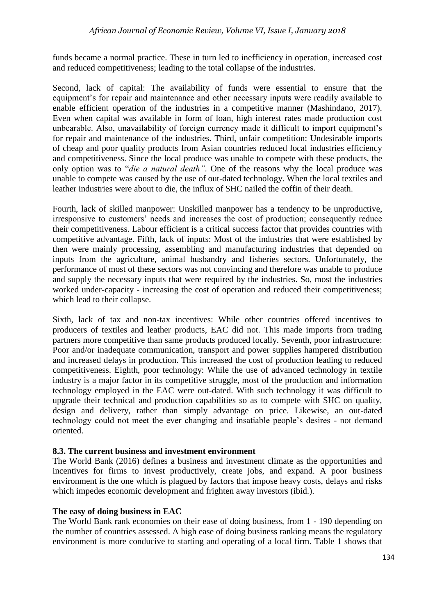funds became a normal practice. These in turn led to inefficiency in operation, increased cost and reduced competitiveness; leading to the total collapse of the industries.

Second, lack of capital: The availability of funds were essential to ensure that the equipment's for repair and maintenance and other necessary inputs were readily available to enable efficient operation of the industries in a competitive manner (Mashindano, 2017). Even when capital was available in form of loan, high interest rates made production cost unbearable. Also, unavailability of foreign currency made it difficult to import equipment's for repair and maintenance of the industries. Third, unfair competition: Undesirable imports of cheap and poor quality products from Asian countries reduced local industries efficiency and competitiveness. Since the local produce was unable to compete with these products, the only option was to "*die a natural death"*. One of the reasons why the local produce was unable to compete was caused by the use of out-dated technology. When the local textiles and leather industries were about to die, the influx of SHC nailed the coffin of their death.

Fourth, lack of skilled manpower: Unskilled manpower has a tendency to be unproductive, irresponsive to customers' needs and increases the cost of production; consequently reduce their competitiveness. Labour efficient is a critical success factor that provides countries with competitive advantage. Fifth, lack of inputs: Most of the industries that were established by then were mainly processing, assembling and manufacturing industries that depended on inputs from the agriculture, animal husbandry and fisheries sectors. Unfortunately, the performance of most of these sectors was not convincing and therefore was unable to produce and supply the necessary inputs that were required by the industries. So, most the industries worked under-capacity - increasing the cost of operation and reduced their competitiveness; which lead to their collapse.

Sixth, lack of tax and non-tax incentives: While other countries offered incentives to producers of textiles and leather products, EAC did not. This made imports from trading partners more competitive than same products produced locally. Seventh, poor infrastructure: Poor and/or inadequate communication, transport and power supplies hampered distribution and increased delays in production. This increased the cost of production leading to reduced competitiveness. Eighth, poor technology: While the use of advanced technology in textile industry is a major factor in its competitive struggle, most of the production and information technology employed in the EAC were out-dated. With such technology it was difficult to upgrade their technical and production capabilities so as to compete with SHC on quality, design and delivery, rather than simply advantage on price. Likewise, an out-dated technology could not meet the ever changing and insatiable people's desires - not demand oriented.

# **8.3. The current business and investment environment**

The World Bank (2016) defines a business and investment climate as the opportunities and incentives for firms to invest productively, create jobs, and expand. A poor business environment is the one which is plagued by factors that impose heavy costs, delays and risks which impedes economic development and frighten away investors (ibid.).

# **The easy of doing business in EAC**

The World Bank rank economies on their ease of doing business, from 1 - 190 depending on the number of countries assessed. A high ease of doing business ranking means the regulatory environment is more conducive to starting and operating of a local firm. Table 1 shows that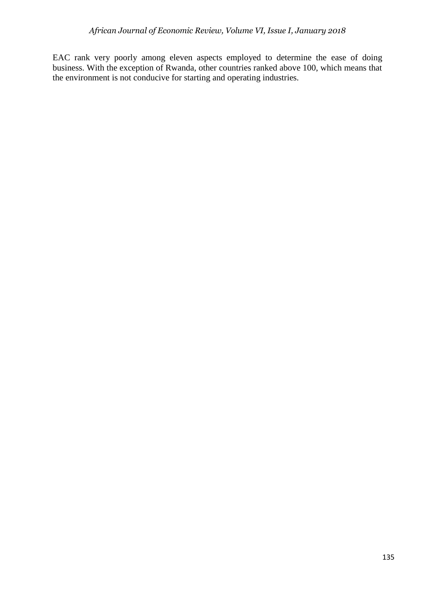EAC rank very poorly among eleven aspects employed to determine the ease of doing business. With the exception of Rwanda, other countries ranked above 100, which means that the environment is not conducive for starting and operating industries.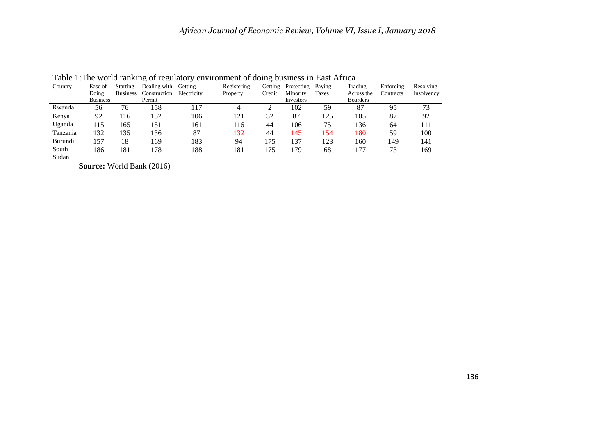| Country  | Ease of         | <b>Starting</b> | Dealing with | Getting     | Registering | Getting | Protecting | Paying | Trading         | Enforcing | Resolving  |
|----------|-----------------|-----------------|--------------|-------------|-------------|---------|------------|--------|-----------------|-----------|------------|
|          | Doing           | <b>Business</b> | Construction | Electricity | Property    | Credit  | Minority   | Taxes  | Across the      | Contracts | Insolvency |
|          | <b>Business</b> |                 | Permit       |             |             |         | Investors  |        | <b>Boarders</b> |           |            |
| Rwanda   | 56              | 76              | 158          | 17ء         | 4           |         | 102        | 59     | 87              | 95        | 73         |
| Kenya    | 92              | 116             | 152          | 106         | 121         | 32      | 87         | 125    | 105             | 87        | 92         |
| Uganda   | 115             | 165             | 151          | 161         | 116         | 44      | 106        | 75     | 136             | 64        | 111        |
| Tanzania | 132             | 135             | 136          | 87          | 132         | 44      | 145        | 154    | 180             | 59        | 100        |
| Burundi  | 157             | 18              | 169          | 183         | 94          | 75      | 137        | 123    | 160             | 149       | 141        |
| South    | 186             | 181             | 178          | 188         | 181         | 75      | 79         | 68     | 177             | 73        | 169        |

Table 1:The world ranking of regulatory environment of doing business in East Africa

**Source:** World Bank (2016)

Sudan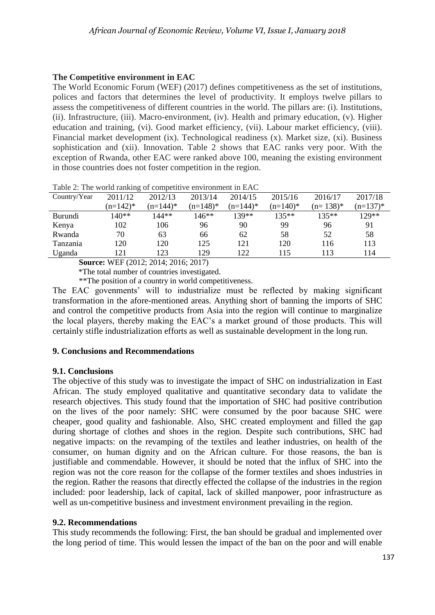# **The Competitive environment in EAC**

The World Economic Forum (WEF) (2017) defines competitiveness as the set of institutions, polices and factors that determines the level of productivity. It employs twelve pillars to assess the competitiveness of different countries in the world. The pillars are: (i). Institutions, (ii). Infrastructure, (iii). Macro-environment, (iv). Health and primary education, (v). Higher education and training, (vi). Good market efficiency, (vii). Labour market efficiency, (viii). Financial market development (ix). Technological readiness (x). Market size, (xi). Business sophistication and (xii). Innovation. Table 2 shows that EAC ranks very poor. With the exception of Rwanda, other EAC were ranked above 100, meaning the existing environment in those countries does not foster competition in the region.

| Country/Year   | 2011/12     | 2012/13     | 2013/14     | 2014/15    | 2015/16    | 2016/17     | 2017/18    |
|----------------|-------------|-------------|-------------|------------|------------|-------------|------------|
|                | $(n=142)^*$ | $(n=144)^*$ | $(n=148)^*$ | $(n=144)*$ | $(n=140)*$ | $(n=138)^*$ | $(n=137)*$ |
| <b>Burundi</b> | 140**       | 144**       | 146**       | 139**      | $135**$    | $135**$     | 129**      |
| Kenya          | 102         | 106         | 96          | 90         | 99         | 96          | 91         |
| Rwanda         | 70          | 63          | 66          | 62         | 58         | 52          | 58         |
| Tanzania       | 120         | 120         | 125         | 121        | 120        | 116         | 113        |
| Uganda         | 21          | 123         | 129         | 122        | 115        | 113         | 114        |

Table 2: The world ranking of competitive environment in EAC

**Source:** WEF (2012; 2014; 2016; 2017)

\*The total number of countries investigated.

\*\*The position of a country in world competitiveness.

The EAC govenments' will to industrialize must be reflected by making significant transformation in the afore-mentioned areas. Anything short of banning the imports of SHC and control the competitive products from Asia into the region will continue to marginalize the local players, thereby making the EAC's a market ground of those products. This will certainly stifle industrialization efforts as well as sustainable development in the long run.

## **9. Conclusions and Recommendations**

#### **9.1. Conclusions**

The objective of this study was to investigate the impact of SHC on industrialization in East African. The study employed qualitative and quantitative secondary data to validate the research objectives. This study found that the importation of SHC had positive contribution on the lives of the poor namely: SHC were consumed by the poor bacause SHC were cheaper, good quality and fashionable. Also, SHC created employment and filled the gap during shortage of clothes and shoes in the region. Despite such contributions, SHC had negative impacts: on the revamping of the textiles and leather industries, on health of the consumer, on human dignity and on the African culture. For those reasons, the ban is justifiable and commendable. However, it should be noted that the influx of SHC into the region was not the core reason for the collapse of the former textiles and shoes industries in the region. Rather the reasons that directly effected the collapse of the industries in the region included: poor leadership, lack of capital, lack of skilled manpower, poor infrastructure as well as un-competitive business and investment environment prevailing in the region.

#### **9.2. Recommendations**

This study recommends the following: First, the ban should be gradual and implemented over the long period of time. This would lessen the impact of the ban on the poor and will enable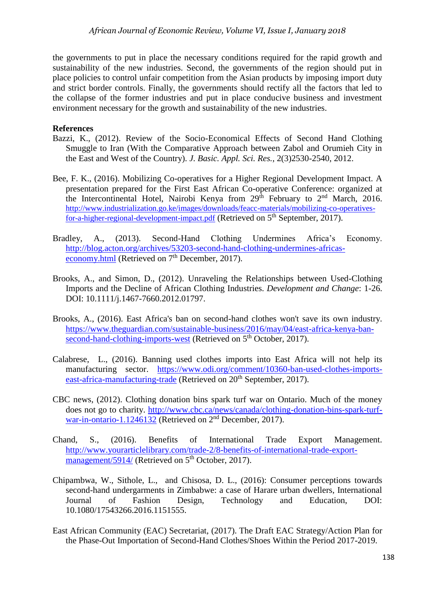the governments to put in place the necessary conditions required for the rapid growth and sustainability of the new industries. Second, the governments of the region should put in place policies to control unfair competition from the Asian products by imposing import duty and strict border controls. Finally, the governments should rectify all the factors that led to the collapse of the former industries and put in place conducive business and investment environment necessary for the growth and sustainability of the new industries.

#### **References**

- Bazzi, K., (2012). Review of the Socio-Economical Effects of Second Hand Clothing Smuggle to Iran (With the Comparative Approach between Zabol and Orumieh City in the East and West of the Country). *J. Basic. Appl. Sci. Res.*, 2(3)2530-2540, 2012.
- Bee, F. K., (2016). Mobilizing Co-operatives for a Higher Regional Development Impact. A presentation prepared for the First East African Co-operative Conference: organized at the Intercontinental Hotel, Nairobi Kenya from  $29<sup>th</sup>$  February to  $2<sup>nd</sup>$  March, 2016. [http://www.industrialization.go.ke/images/downloads/feacc-materials/mobilizing-co-operatives](http://www.industrialization.go.ke/images/downloads/feacc-materials/mobilizing-co-operatives-for-a-higher-regional-development-impact.pdf)[for-a-higher-regional-development-impact.pdf](http://www.industrialization.go.ke/images/downloads/feacc-materials/mobilizing-co-operatives-for-a-higher-regional-development-impact.pdf) (Retrieved on 5<sup>th</sup> September, 2017).
- Bradley, A., (2013). Second-Hand Clothing Undermines Africa's Economy. [http://blog.acton.org/archives/53203-second-hand-clothing-undermines-africas](http://blog.acton.org/archives/53203-second-hand-clothing-undermines-africas-economy.html)[economy.html](http://blog.acton.org/archives/53203-second-hand-clothing-undermines-africas-economy.html) (Retrieved on  $7<sup>th</sup>$  December, 2017).
- Brooks, A., and Simon, D., (2012). Unraveling the Relationships between Used-Clothing Imports and the Decline of African Clothing Industries. *Development and Change*: 1-26. DOI: 10.1111/j.1467-7660.2012.01797.
- Brooks, A., (2016). East Africa's ban on second-hand clothes won't save its own industry. [https://www.theguardian.com/sustainable-business/2016/may/04/east-africa-kenya-ban](https://www.theguardian.com/sustainable-business/2016/may/04/east-africa-kenya-ban-second-hand-clothing-imports-west)[second-hand-clothing-imports-west](https://www.theguardian.com/sustainable-business/2016/may/04/east-africa-kenya-ban-second-hand-clothing-imports-west) (Retrieved on 5<sup>th</sup> October, 2017).
- Calabrese, L., (2016). Banning used clothes imports into East Africa will not help its manufacturing sector. [https://www.odi.org/comment/10360-ban-used-clothes-imports](https://www.odi.org/comment/10360-ban-used-clothes-imports-east-africa-manufacturing-trade)[east-africa-manufacturing-trade](https://www.odi.org/comment/10360-ban-used-clothes-imports-east-africa-manufacturing-trade) (Retrieved on 20<sup>th</sup> September, 2017).
- CBC news, (2012). Clothing donation bins spark turf war on Ontario. Much of the money does not go to charity. [http://www.cbc.ca/news/canada/clothing-donation-bins-spark-turf](http://www.cbc.ca/news/canada/clothing-donation-bins-spark-turf-war-in-ontario-1.1246132)[war-in-ontario-1.1246132](http://www.cbc.ca/news/canada/clothing-donation-bins-spark-turf-war-in-ontario-1.1246132) (Retrieved on 2<sup>nd</sup> December, 2017).
- Chand, S., (2016). Benefits of International Trade Export Management. [http://www.yourarticlelibrary.com/trade-2/8-benefits-of-international-trade-export](http://www.yourarticlelibrary.com/trade-2/8-benefits-of-international-trade-export-management/5914/)[management/5914/](http://www.yourarticlelibrary.com/trade-2/8-benefits-of-international-trade-export-management/5914/) (Retrieved on 5<sup>th</sup> October, 2017).
- Chipambwa, W., Sithole, L., and Chisosa, D. L., (2016): Consumer perceptions towards second-hand undergarments in Zimbabwe: a case of Harare urban dwellers, International Journal of Fashion Design, Technology and Education, DOI: 10.1080/17543266.2016.1151555.
- East African Community (EAC) Secretariat, (2017). The Draft EAC Strategy/Action Plan for the Phase-Out Importation of Second-Hand Clothes/Shoes Within the Period 2017-2019.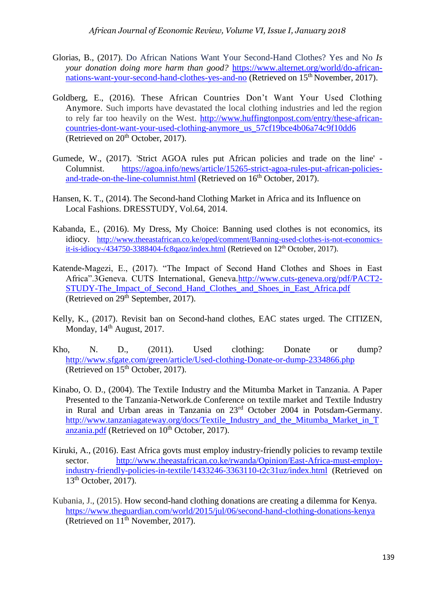- Glorias, B., (2017). Do African Nations Want Your Second-Hand Clothes? Yes and No *Is your donation doing more harm than good?* [https://www.alternet.org/world/do-african](https://www.alternet.org/world/do-african-nations-want-your-second-hand-clothes-yes-and-no)[nations-want-your-second-hand-clothes-yes-and-no](https://www.alternet.org/world/do-african-nations-want-your-second-hand-clothes-yes-and-no) (Retrieved on 15<sup>th</sup> November, 2017).
- Goldberg, E., (2016). These African Countries Don't Want Your Used Clothing Anymore. Such imports have devastated the local clothing industries and led the region to rely far too heavily on the West. [http://www.huffingtonpost.com/entry/these-african](http://www.huffingtonpost.com/entry/these-african-countries-dont-want-your-used-clothing-anymore_us_57cf19bce4b06a74c9f10dd6)[countries-dont-want-your-used-clothing-anymore\\_us\\_57cf19bce4b06a74c9f10dd6](http://www.huffingtonpost.com/entry/these-african-countries-dont-want-your-used-clothing-anymore_us_57cf19bce4b06a74c9f10dd6) (Retrieved on  $20<sup>th</sup>$  October, 2017).
- Gumede, W., (2017). 'Strict AGOA rules put African policies and trade on the line' Columnist. [https://agoa.info/news/article/15265-strict-agoa-rules-put-african-policies](https://agoa.info/news/article/15265-strict-agoa-rules-put-african-policies-and-trade-on-the-line-columnist.html)[and-trade-on-the-line-columnist.html](https://agoa.info/news/article/15265-strict-agoa-rules-put-african-policies-and-trade-on-the-line-columnist.html) (Retrieved on 16<sup>th</sup> October, 2017).
- Hansen, K. T., (2014). The Second-hand Clothing Market in Africa and its Influence on Local Fashions. DRESSTUDY, Vol.64, 2014.
- Kabanda, E., (2016). My Dress, My Choice: Banning used clothes is not economics, its idiocy. [http://www.theeastafrican.co.ke/oped/comment/Banning-used-clothes-is-not-economics](http://www.theeastafrican.co.ke/oped/comment/Banning-used-clothes-is-not-economics-it-is-idiocy-/434750-3388404-fc8qaoz/index.html)[it-is-idiocy-/434750-3388404-fc8qaoz/index.html](http://www.theeastafrican.co.ke/oped/comment/Banning-used-clothes-is-not-economics-it-is-idiocy-/434750-3388404-fc8qaoz/index.html) (Retrieved on 12<sup>th</sup> October, 2017).
- Katende-Magezi, E., (2017). "The Impact of Second Hand Clothes and Shoes in East Africa".3Geneva. CUTS International, Geneva[.http://www.cuts-geneva.org/pdf/PACT2-](http://www.cuts-geneva.org/pdf/PACT2-STUDY-The_Impact_of_Second_Hand_Clothes_and_Shoes_in_East_Africa.pdf) STUDY-The Impact of Second Hand Clothes and Shoes in East Africa.pdf (Retrieved on  $29<sup>th</sup>$  September, 2017).
- Kelly, K., (2017). Revisit ban on Second-hand clothes, EAC states urged. The CITIZEN, Monday,  $14<sup>th</sup>$  August, 2017.
- Kho, N. D., (2011). Used clothing: Donate or dump? <http://www.sfgate.com/green/article/Used-clothing-Donate-or-dump-2334866.php> (Retrieved on 15<sup>th</sup> October, 2017).
- Kinabo, O. D., (2004). The Textile Industry and the Mitumba Market in Tanzania. A Paper Presented to the Tanzania-Network.de Conference on textile market and Textile Industry in Rural and Urban areas in Tanzania on 23rd October 2004 in Potsdam-Germany. [http://www.tanzaniagateway.org/docs/Textile\\_Industry\\_and\\_the\\_Mitumba\\_Market\\_in\\_T](http://www.tanzaniagateway.org/docs/Textile_Industry_and_the_Mitumba_Market_in_Tanzania.pdf) [anzania.pdf](http://www.tanzaniagateway.org/docs/Textile_Industry_and_the_Mitumba_Market_in_Tanzania.pdf) (Retrieved on 10<sup>th</sup> October, 2017).
- Kiruki, A., (2016). East Africa govts must employ industry-friendly policies to revamp textile sector. [http://www.theeastafrican.co.ke/rwanda/Opinion/East-Africa-must-employ](http://www.theeastafrican.co.ke/rwanda/Opinion/East-Africa-must-employ-industry-friendly-policies-in-textile/1433246-3363110-t2c31uz/index.html)[industry-friendly-policies-in-textile/1433246-3363110-t2c31uz/index.html](http://www.theeastafrican.co.ke/rwanda/Opinion/East-Africa-must-employ-industry-friendly-policies-in-textile/1433246-3363110-t2c31uz/index.html) (Retrieved on  $13<sup>th</sup>$  October, 2017).
- Kubania, J., (2015). How second-hand clothing donations are creating a dilemma for Kenya. <https://www.theguardian.com/world/2015/jul/06/second-hand-clothing-donations-kenya> (Retrieved on  $11<sup>th</sup>$  November, 2017).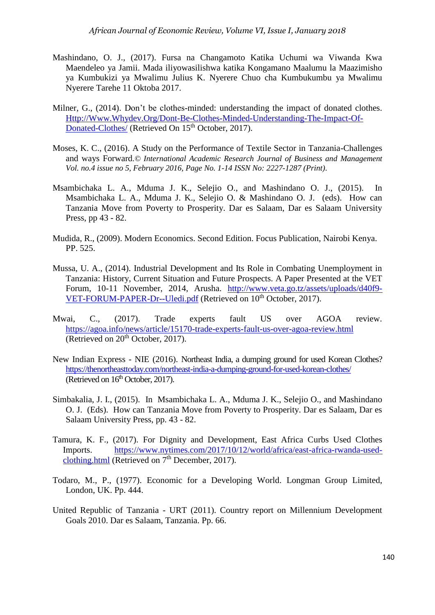- Mashindano, O. J., (2017). Fursa na Changamoto Katika Uchumi wa Viwanda Kwa Maendeleo ya Jamii. Mada iliyowasilishwa katika Kongamano Maalumu la Maazimisho ya Kumbukizi ya Mwalimu Julius K. Nyerere Chuo cha Kumbukumbu ya Mwalimu Nyerere Tarehe 11 Oktoba 2017.
- Milner, G., (2014). Don't be clothes-minded: understanding the impact of donated clothes. [Http://Www.Whydev.Org/Dont-Be-Clothes-Minded-Understanding-The-Impact-Of-](http://www.whydev.org/Dont-Be-Clothes-Minded-Understanding-The-Impact-Of-Donated-Clothes/)[Donated-Clothes/](http://www.whydev.org/Dont-Be-Clothes-Minded-Understanding-The-Impact-Of-Donated-Clothes/) (Retrieved On 15<sup>th</sup> October, 2017).
- Moses, K. C., (2016). A Study on the Performance of Textile Sector in Tanzania-Challenges and ways Forward.*© International Academic Research Journal of Business and Management Vol. no.4 issue no 5, February 2016, Page No. 1-14 ISSN No: 2227-1287 (Print)*.
- Msambichaka L. A., Mduma J. K., Selejio O., and Mashindano O. J., (2015). In Msambichaka L. A., Mduma J. K., Selejio O. & Mashindano O. J. (eds). How can Tanzania Move from Poverty to Prosperity. Dar es Salaam, Dar es Salaam University Press, pp 43 - 82.
- Mudida, R., (2009). Modern Economics. Second Edition. Focus Publication, Nairobi Kenya. PP. 525.
- Mussa, U. A., (2014). Industrial Development and Its Role in Combating Unemployment in Tanzania: History, Current Situation and Future Prospects. A Paper Presented at the VET Forum, 10-11 November, 2014, Arusha. [http://www.veta.go.tz/assets/uploads/d40f9-](http://www.veta.go.tz/assets/uploads/d40f9-VET-FORUM-PAPER-Dr--Uledi.pdf) [VET-FORUM-PAPER-Dr--Uledi.pdf](http://www.veta.go.tz/assets/uploads/d40f9-VET-FORUM-PAPER-Dr--Uledi.pdf) (Retrieved on 10<sup>th</sup> October, 2017).
- Mwai, C., (2017). Trade experts fault US over AGOA review. <https://agoa.info/news/article/15170-trade-experts-fault-us-over-agoa-review.html> (Retrieved on  $20<sup>th</sup>$  October, 2017).
- New Indian Express NIE (2016). Northeast India, a dumping ground for used Korean Clothes? <https://thenortheasttoday.com/northeast-india-a-dumping-ground-for-used-korean-clothes/> (Retrieved on  $16<sup>th</sup>$  October, 2017).
- Simbakalia, J. I., (2015). In Msambichaka L. A., Mduma J. K., Selejio O., and Mashindano O. J. (Eds). How can Tanzania Move from Poverty to Prosperity. Dar es Salaam, Dar es Salaam University Press, pp. 43 - 82.
- Tamura, K. F., (2017). For Dignity and Development, East Africa Curbs Used Clothes Imports. [https://www.nytimes.com/2017/10/12/world/africa/east-africa-rwanda-used](https://www.nytimes.com/2017/10/12/world/africa/east-africa-rwanda-used-clothing.html)[clothing.html](https://www.nytimes.com/2017/10/12/world/africa/east-africa-rwanda-used-clothing.html) (Retrieved on  $7<sup>th</sup>$  December, 2017).
- Todaro, M., P., (1977). Economic for a Developing World. Longman Group Limited, London, UK. Pp. 444.
- United Republic of Tanzania URT (2011). Country report on Millennium Development Goals 2010. Dar es Salaam, Tanzania. Pp. 66.